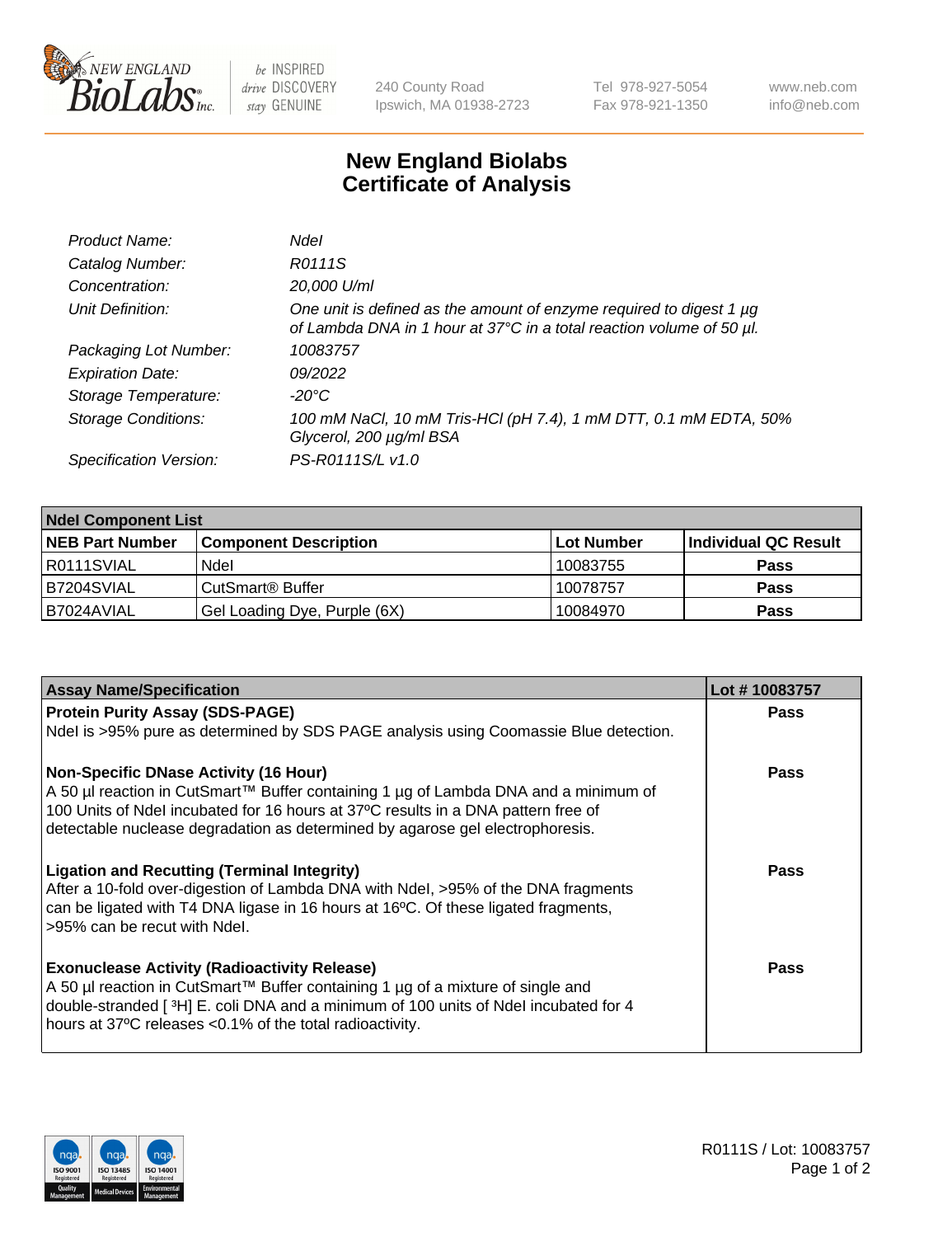

be INSPIRED drive DISCOVERY stay GENUINE

240 County Road Ipswich, MA 01938-2723 Tel 978-927-5054 Fax 978-921-1350 www.neb.com info@neb.com

## **New England Biolabs Certificate of Analysis**

| Product Name:              | <b>Ndel</b>                                                                                                                                 |
|----------------------------|---------------------------------------------------------------------------------------------------------------------------------------------|
| Catalog Number:            | R0111S                                                                                                                                      |
| Concentration:             | 20,000 U/ml                                                                                                                                 |
| Unit Definition:           | One unit is defined as the amount of enzyme required to digest 1 µg<br>of Lambda DNA in 1 hour at 37°C in a total reaction volume of 50 µl. |
| Packaging Lot Number:      | 10083757                                                                                                                                    |
| <b>Expiration Date:</b>    | 09/2022                                                                                                                                     |
| Storage Temperature:       | -20°C                                                                                                                                       |
| <b>Storage Conditions:</b> | 100 mM NaCl, 10 mM Tris-HCl (pH 7.4), 1 mM DTT, 0.1 mM EDTA, 50%<br>Glycerol, 200 µg/ml BSA                                                 |
| Specification Version:     | PS-R0111S/L v1.0                                                                                                                            |

| <b>Ndel Component List</b> |                              |             |                      |  |  |
|----------------------------|------------------------------|-------------|----------------------|--|--|
| <b>NEB Part Number</b>     | <b>Component Description</b> | ∣Lot Number | Individual QC Result |  |  |
| R0111SVIAL                 | Ndel                         | 10083755    | <b>Pass</b>          |  |  |
| B7204SVIAL                 | CutSmart® Buffer             | 10078757    | <b>Pass</b>          |  |  |
| B7024AVIAL                 | Gel Loading Dye, Purple (6X) | 10084970    | <b>Pass</b>          |  |  |

| <b>Assay Name/Specification</b>                                                         | Lot #10083757 |
|-----------------------------------------------------------------------------------------|---------------|
| <b>Protein Purity Assay (SDS-PAGE)</b>                                                  | <b>Pass</b>   |
| Ndel is >95% pure as determined by SDS PAGE analysis using Coomassie Blue detection.    |               |
| <b>Non-Specific DNase Activity (16 Hour)</b>                                            | <b>Pass</b>   |
| A 50 µl reaction in CutSmart™ Buffer containing 1 µg of Lambda DNA and a minimum of     |               |
| 100 Units of Ndel incubated for 16 hours at 37°C results in a DNA pattern free of       |               |
| detectable nuclease degradation as determined by agarose gel electrophoresis.           |               |
| <b>Ligation and Recutting (Terminal Integrity)</b>                                      | Pass          |
| After a 10-fold over-digestion of Lambda DNA with Ndel, >95% of the DNA fragments       |               |
| can be ligated with T4 DNA ligase in 16 hours at 16°C. Of these ligated fragments,      |               |
| >95% can be recut with Ndel.                                                            |               |
| <b>Exonuclease Activity (Radioactivity Release)</b>                                     | Pass          |
| A 50 µl reaction in CutSmart™ Buffer containing 1 µg of a mixture of single and         |               |
| double-stranded [ $3H$ ] E. coli DNA and a minimum of 100 units of Ndel incubated for 4 |               |
| hours at 37°C releases <0.1% of the total radioactivity.                                |               |
|                                                                                         |               |